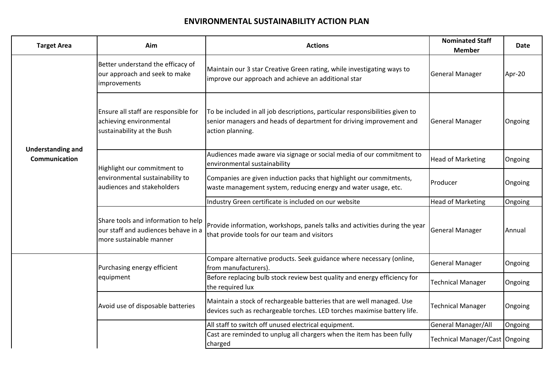## **ENVIRONMENTAL SUSTAINABILITY ACTION PLAN**

| <b>Target Area</b>                               | Aim                                                                                                   | <b>Actions</b>                                                                                                                                                          | <b>Nominated Staff</b><br><b>Member</b> | Date    |
|--------------------------------------------------|-------------------------------------------------------------------------------------------------------|-------------------------------------------------------------------------------------------------------------------------------------------------------------------------|-----------------------------------------|---------|
| <b>Understanding and</b><br><b>Communication</b> | Better understand the efficacy of<br>our approach and seek to make<br>improvements                    | Maintain our 3 star Creative Green rating, while investigating ways to<br>improve our approach and achieve an additional star                                           | <b>General Manager</b>                  | Apr-20  |
|                                                  | Ensure all staff are responsible for<br>achieving environmental<br>sustainability at the Bush         | To be included in all job descriptions, particular responsibilities given to<br>senior managers and heads of department for driving improvement and<br>action planning. | <b>General Manager</b>                  | Ongoing |
|                                                  | Highlight our commitment to<br>environmental sustainability to<br>audiences and stakeholders          | Audiences made aware via signage or social media of our commitment to<br>environmental sustainability                                                                   | <b>Head of Marketing</b>                | Ongoing |
|                                                  |                                                                                                       | Companies are given induction packs that highlight our commitments,<br>waste management system, reducing energy and water usage, etc.                                   | Producer                                | Ongoing |
|                                                  |                                                                                                       | Industry Green certificate is included on our website                                                                                                                   | <b>Head of Marketing</b>                | Ongoing |
|                                                  | Share tools and information to help<br>our staff and audiences behave in a<br>more sustainable manner | Provide information, workshops, panels talks and activities during the year<br>that provide tools for our team and visitors                                             | <b>General Manager</b>                  | Annual  |
|                                                  | Purchasing energy efficient                                                                           | Compare alternative products. Seek guidance where necessary (online,<br>from manufacturers).                                                                            | <b>General Manager</b>                  | Ongoing |
|                                                  | equipment                                                                                             | Before replacing bulb stock review best quality and energy efficiency for<br>the required lux                                                                           | <b>Technical Manager</b>                | Ongoing |
|                                                  | Avoid use of disposable batteries                                                                     | Maintain a stock of rechargeable batteries that are well managed. Use<br>devices such as rechargeable torches. LED torches maximise battery life.                       | <b>Technical Manager</b>                | Ongoing |
|                                                  |                                                                                                       | All staff to switch off unused electrical equipment.                                                                                                                    | General Manager/All                     | Ongoing |
|                                                  |                                                                                                       | Cast are reminded to unplug all chargers when the item has been fully<br>charged                                                                                        | Technical Manager/Cast Ongoing          |         |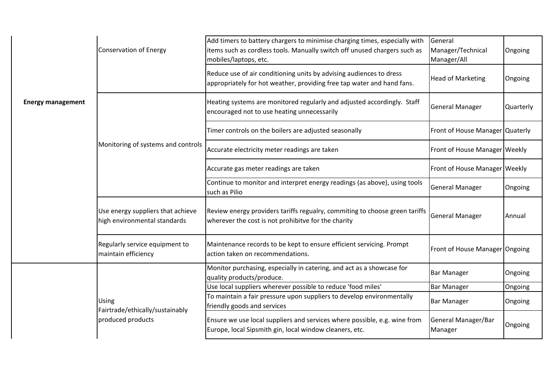|                          | <b>Conservation of Energy</b>                                        | Add timers to battery chargers to minimise charging times, especially with<br>items such as cordless tools. Manually switch off unused chargers such as<br>mobiles/laptops, etc. | General<br>Manager/Technical<br>Manager/All | Ongoing   |
|--------------------------|----------------------------------------------------------------------|----------------------------------------------------------------------------------------------------------------------------------------------------------------------------------|---------------------------------------------|-----------|
|                          |                                                                      | Reduce use of air conditioning units by advising audiences to dress<br>appropriately for hot weather, providing free tap water and hand fans.                                    | <b>Head of Marketing</b>                    | Ongoing   |
| <b>Energy management</b> | Monitoring of systems and controls                                   | Heating systems are monitored regularly and adjusted accordingly. Staff<br>encouraged not to use heating unnecessarily                                                           | <b>General Manager</b>                      | Quarterly |
|                          |                                                                      | Timer controls on the boilers are adjusted seasonally                                                                                                                            | Front of House Manager Quaterly             |           |
|                          |                                                                      | Accurate electricity meter readings are taken                                                                                                                                    | Front of House Manager Weekly               |           |
|                          |                                                                      | Accurate gas meter readings are taken                                                                                                                                            | Front of House Manager Weekly               |           |
|                          |                                                                      | Continue to monitor and interpret energy readings (as above), using tools<br>such as Pilio                                                                                       | <b>General Manager</b>                      | Ongoing   |
|                          | Use energy suppliers that achieve<br>high environmental standards    | Review energy providers tariffs regualry, commiting to choose green tariffs<br>wherever the cost is not prohibitve for the charity                                               | <b>General Manager</b>                      | Annual    |
|                          | Regularly service equipment to<br>maintain efficiency                | Maintenance records to be kept to ensure efficient servicing. Prompt<br>action taken on recommendations.                                                                         | Front of House Manager Ongoing              |           |
|                          | <b>Using</b><br>Fairtrade/ethically/sustainably<br>produced products | Monitor purchasing, especially in catering, and act as a showcase for<br>quality products/produce.                                                                               | <b>Bar Manager</b>                          | Ongoing   |
|                          |                                                                      | Use local suppliers wherever possible to reduce 'food miles'                                                                                                                     | <b>Bar Manager</b>                          | Ongoing   |
|                          |                                                                      | To maintain a fair pressure upon suppliers to develop environmentally<br>friendly goods and services                                                                             | <b>Bar Manager</b>                          | Ongoing   |
|                          |                                                                      | Ensure we use local suppliers and services where possible, e.g. wine from<br>Europe, local Sipsmith gin, local window cleaners, etc.                                             | General Manager/Bar<br>Manager              | Ongoing   |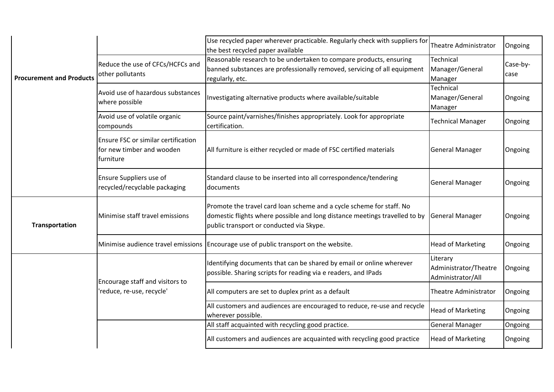|                                 |                                                                               | Use recycled paper wherever practicable. Regularly check with suppliers for<br>the best recycled paper available                                                                               | Theatre Administrator                                  | Ongoing          |
|---------------------------------|-------------------------------------------------------------------------------|------------------------------------------------------------------------------------------------------------------------------------------------------------------------------------------------|--------------------------------------------------------|------------------|
| <b>Procurement and Products</b> | Reduce the use of CFCs/HCFCs and<br>other pollutants                          | Reasonable research to be undertaken to compare products, ensuring<br>banned substances are professionally removed, servicing of all equipment<br>regularly, etc.                              | Technical<br>Manager/General<br>Manager                | Case-by-<br>case |
|                                 | Avoid use of hazardous substances<br>where possible                           | Investigating alternative products where available/suitable                                                                                                                                    | Technical<br>Manager/General<br>Manager                | Ongoing          |
|                                 | Avoid use of volatile organic<br>compounds                                    | Source paint/varnishes/finishes appropriately. Look for appropriate<br>certification.                                                                                                          | <b>Technical Manager</b>                               | Ongoing          |
|                                 | Ensure FSC or similar certification<br>for new timber and wooden<br>furniture | All furniture is either recycled or made of FSC certified materials                                                                                                                            | <b>General Manager</b>                                 | Ongoing          |
|                                 | Ensure Suppliers use of<br>recycled/recyclable packaging                      | Standard clause to be inserted into all correspondence/tendering<br>documents                                                                                                                  | General Manager                                        | Ongoing          |
| Transportation                  | Minimise staff travel emissions                                               | Promote the travel card loan scheme and a cycle scheme for staff. No<br>domestic flights where possible and long distance meetings travelled to by<br>public transport or conducted via Skype. | <b>General Manager</b>                                 | Ongoing          |
|                                 |                                                                               | Minimise audience travel emissions Encourage use of public transport on the website.                                                                                                           | <b>Head of Marketing</b>                               | Ongoing          |
|                                 | Encourage staff and visitors to                                               | Identifying documents that can be shared by email or online wherever<br>possible. Sharing scripts for reading via e readers, and IPads                                                         | Literary<br>Administrator/Theatre<br>Administrator/All | Ongoing          |
|                                 | 'reduce, re-use, recycle'                                                     | All computers are set to duplex print as a default                                                                                                                                             | Theatre Administrator                                  | Ongoing          |
|                                 |                                                                               | All customers and audiences are encouraged to reduce, re-use and recycle<br>wherever possible.                                                                                                 | <b>Head of Marketing</b>                               | Ongoing          |
|                                 |                                                                               | All staff acquainted with recycling good practice.                                                                                                                                             | <b>General Manager</b>                                 | Ongoing          |
|                                 |                                                                               | All customers and audiences are acquainted with recycling good practice                                                                                                                        | <b>Head of Marketing</b>                               | Ongoing          |